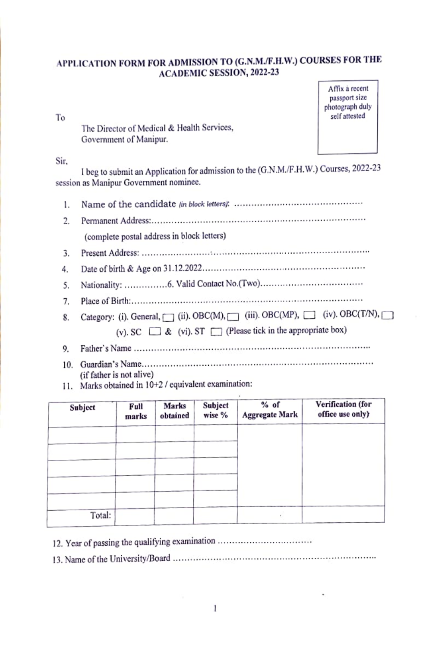# APPLICATION FORM FOR ADMISSION TO (G.N.M./F.H.W.) COURSES FOR THE **ACADEMIC SESSION, 2022-23**

To

The Director of Medical & Health Services, Government of Manipur.

Affix à recent passport size photograph duly self attested

#### Sir.

I beg to submit an Application for admission to the (G.N.M./F.H.W.) Courses, 2022-23 session as Manipur Government nominee.

| 1. |                                                                       |
|----|-----------------------------------------------------------------------|
| 2. |                                                                       |
|    | (complete postal address in block letters)                            |
| 3. |                                                                       |
| 4. |                                                                       |
| 5. |                                                                       |
| 7. |                                                                       |
| 8. | Category: (i). General, (ii). OBC(M), (iii). OBC(MP), (iv). OBC(T/N), |
|    | (v) SC $\Box$ & (vi) ST $\Box$ (Please tick in the appropriate box)   |
| 9. |                                                                       |
|    |                                                                       |

- (if father is not alive)
- 11. Marks obtained in 10+2 / equivalent examination:

| Subject | Full<br>marks | Marks<br>obtained | Subject<br>wise % | % of<br><b>Aggregate Mark</b> | Verification (for<br>office use only) |
|---------|---------------|-------------------|-------------------|-------------------------------|---------------------------------------|
|         |               |                   |                   |                               |                                       |
|         |               |                   |                   |                               |                                       |
|         |               |                   |                   |                               |                                       |
|         |               |                   |                   |                               |                                       |
| Total:  |               |                   |                   |                               |                                       |

12. Year of passing the qualifying examination .................................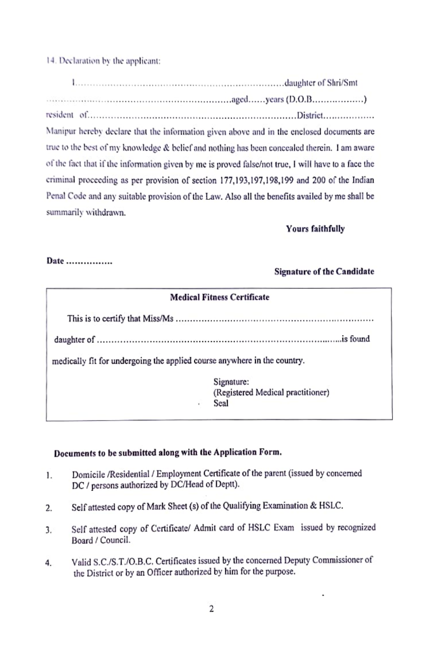14. Declaration by the applicant:

resident of contain contained and contain contained a position of the problem of the contained and contain a position of the contained and contain a contain of the contain and contain a contain a contain of the contain of Manipur hereby declare that the information given above and in the enclosed documents are true to the best of my knowledge & belief and nothing has been concealed therein. I am aware of the fact that if the information given by me is proved false/not true, I will have to a face the criminal proceeding as per provision of section 177,193,197,198,199 and 200 of the Indian Penal Code and any suitable provision of the Law. Also all the benefits availed by me shall be summarily withdrawn.

# **Yours faithfully**

#### Date ................

# **Signature of the Candidate**

| <b>Medical Fitness Certificate</b>                                       |                                                         |  |  |  |  |  |
|--------------------------------------------------------------------------|---------------------------------------------------------|--|--|--|--|--|
|                                                                          |                                                         |  |  |  |  |  |
|                                                                          |                                                         |  |  |  |  |  |
| medically fit for undergoing the applied course anywhere in the country. |                                                         |  |  |  |  |  |
| ٠                                                                        | Signature:<br>(Registered Medical practitioner)<br>Seal |  |  |  |  |  |

# Documents to be submitted along with the Application Form.

- Domicile /Residential / Employment Certificate of the parent (issued by concerned  $\mathbf{1}$ . DC / persons authorized by DC/Head of Deptt).
- Self attested copy of Mark Sheet (s) of the Qualifying Examination & HSLC. 2.
- Self attested copy of Certificate/ Admit card of HSLC Exam issued by recognized 3. Board / Council.
- Valid S.C./S.T./O.B.C. Certificates issued by the concerned Deputy Commissioner of 4. the District or by an Officer authorized by him for the purpose.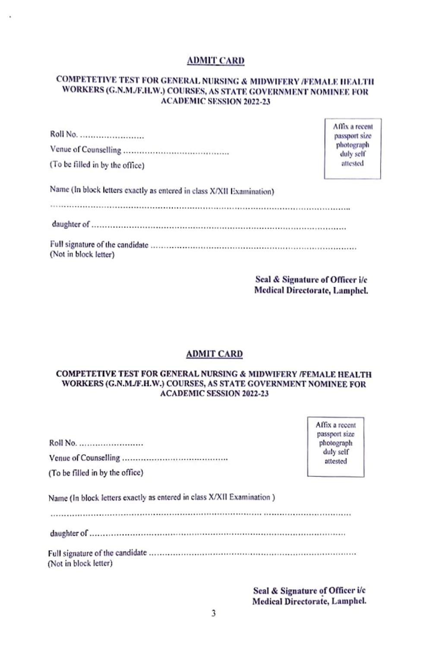#### **ADMIT CARD**

## COMPETETIVE TEST FOR GENERAL NURSING & MIDWIFERY /FEMALE HEALTH WORKERS (G.N.M./F.H.W.) COURSES, AS STATE GOVERNMENT NOMINEE FOR **ACADEMIC SESSION 2022-23**

| Roll No.                                                              | passpor          |
|-----------------------------------------------------------------------|------------------|
|                                                                       | photog<br>duly s |
| (To be filled in by the office)                                       | attest           |
| Name (In block letters exactly as entered in class X/XII Examination) |                  |
|                                                                       |                  |
| (Not in block letter)                                                 |                  |

Seal & Signature of Officer i/c **Medical Directorate, Lamphel.** 

> Affix a recent passport size photograph duly self

> > attested

Affix a recent

passport size photograph

> duly self attested

#### **ADMIT CARD**

#### COMPETETIVE TEST FOR GENERAL NURSING & MIDWIFERY /FEMALE HEALTH WORKERS (G.N.M./F.H.W.) COURSES, AS STATE GOVERNMENT NOMINEE FOR **ACADEMIC SESSION 2022-23**

| Roll No. |  |
|----------|--|
|          |  |

(To be filled in by the office)

Name (In block letters exactly as entered in class X/XII Examination)

(Not in block letter)

> Seal & Signature of Officer i/c Medical Directorate, Lamphel.